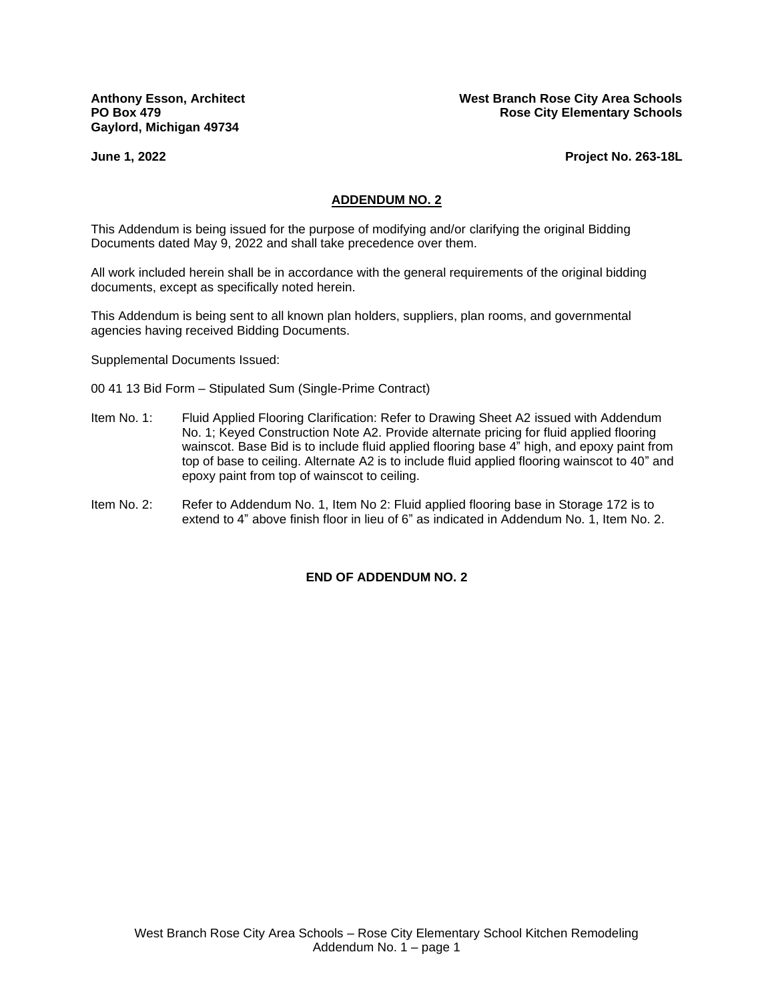**Gaylord, Michigan 49734**

**Anthony Esson, Architect West Branch Rose City Area Schools PO Box 479 Rose City Elementary Schools Rose City Elementary Schools** 

**June 1, 2022 Project No. 263-18L**

#### **ADDENDUM NO. 2**

This Addendum is being issued for the purpose of modifying and/or clarifying the original Bidding Documents dated May 9, 2022 and shall take precedence over them.

All work included herein shall be in accordance with the general requirements of the original bidding documents, except as specifically noted herein.

This Addendum is being sent to all known plan holders, suppliers, plan rooms, and governmental agencies having received Bidding Documents.

Supplemental Documents Issued:

- 00 41 13 Bid Form Stipulated Sum (Single-Prime Contract)
- Item No. 1: Fluid Applied Flooring Clarification: Refer to Drawing Sheet A2 issued with Addendum No. 1; Keyed Construction Note A2. Provide alternate pricing for fluid applied flooring wainscot. Base Bid is to include fluid applied flooring base 4" high, and epoxy paint from top of base to ceiling. Alternate A2 is to include fluid applied flooring wainscot to 40" and epoxy paint from top of wainscot to ceiling.
- Item No. 2: Refer to Addendum No. 1, Item No 2: Fluid applied flooring base in Storage 172 is to extend to 4" above finish floor in lieu of 6" as indicated in Addendum No. 1, Item No. 2.

### **END OF ADDENDUM NO. 2**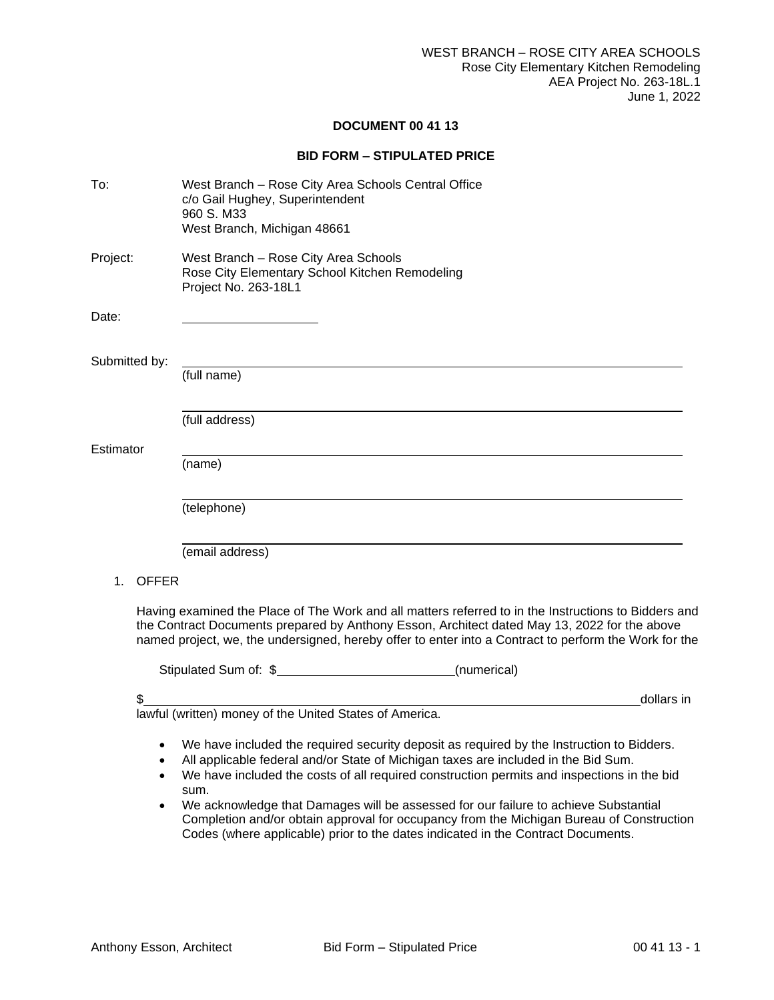## **DOCUMENT 00 41 13**

# **BID FORM – STIPULATED PRICE**

| To:                | West Branch - Rose City Area Schools Central Office<br>c/o Gail Hughey, Superintendent<br>960 S. M33<br>West Branch, Michigan 48661                                                                                                                                                                                                                                                                                                                                                                                                                          |
|--------------------|--------------------------------------------------------------------------------------------------------------------------------------------------------------------------------------------------------------------------------------------------------------------------------------------------------------------------------------------------------------------------------------------------------------------------------------------------------------------------------------------------------------------------------------------------------------|
| Project:           | West Branch - Rose City Area Schools<br>Rose City Elementary School Kitchen Remodeling<br>Project No. 263-18L1                                                                                                                                                                                                                                                                                                                                                                                                                                               |
| Date:              |                                                                                                                                                                                                                                                                                                                                                                                                                                                                                                                                                              |
| Submitted by:      | (full name)                                                                                                                                                                                                                                                                                                                                                                                                                                                                                                                                                  |
|                    | (full address)                                                                                                                                                                                                                                                                                                                                                                                                                                                                                                                                               |
| Estimator          | (name)                                                                                                                                                                                                                                                                                                                                                                                                                                                                                                                                                       |
|                    | (telephone)                                                                                                                                                                                                                                                                                                                                                                                                                                                                                                                                                  |
|                    | (email address)                                                                                                                                                                                                                                                                                                                                                                                                                                                                                                                                              |
| <b>OFFER</b><br>1. |                                                                                                                                                                                                                                                                                                                                                                                                                                                                                                                                                              |
|                    | Having examined the Place of The Work and all matters referred to in the Instructions to Bidders and<br>the Contract Documents prepared by Anthony Esson, Architect dated May 13, 2022 for the above<br>named project, we, the undersigned, hereby offer to enter into a Contract to perform the Work for the                                                                                                                                                                                                                                                |
|                    | Stipulated Sum of: \$<br>(numerical)                                                                                                                                                                                                                                                                                                                                                                                                                                                                                                                         |
| \$                 | dollars in                                                                                                                                                                                                                                                                                                                                                                                                                                                                                                                                                   |
|                    | lawful (written) money of the United States of America.                                                                                                                                                                                                                                                                                                                                                                                                                                                                                                      |
| ٠                  | We have included the required security deposit as required by the Instruction to Bidders.<br>All applicable federal and/or State of Michigan taxes are included in the Bid Sum.<br>We have included the costs of all required construction permits and inspections in the bid<br>sum.<br>We acknowledge that Damages will be assessed for our failure to achieve Substantial<br>Completion and/or obtain approval for occupancy from the Michigan Bureau of Construction<br>Codes (where applicable) prior to the dates indicated in the Contract Documents. |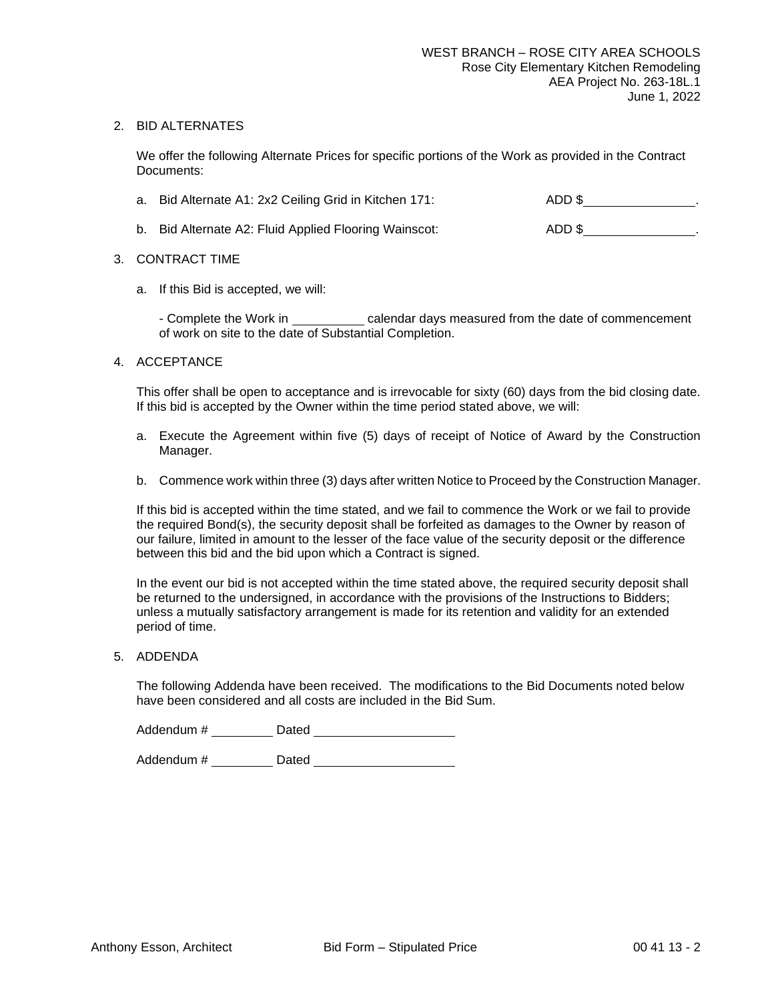### 2. BID ALTERNATES

We offer the following Alternate Prices for specific portions of the Work as provided in the Contract Documents:

| a. Bid Alternate A1: 2x2 Ceiling Grid in Kitchen 171: | ADD \$ |
|-------------------------------------------------------|--------|
| b. Bid Alternate A2: Fluid Applied Flooring Wainscot: | ADD \$ |

- 3. CONTRACT TIME
	- a. If this Bid is accepted, we will:

- Complete the Work in calendar days measured from the date of commencement of work on site to the date of Substantial Completion.

### 4. ACCEPTANCE

This offer shall be open to acceptance and is irrevocable for sixty (60) days from the bid closing date. If this bid is accepted by the Owner within the time period stated above, we will:

- a. Execute the Agreement within five (5) days of receipt of Notice of Award by the Construction Manager.
- b. Commence work within three (3) days after written Notice to Proceed by the Construction Manager.

If this bid is accepted within the time stated, and we fail to commence the Work or we fail to provide the required Bond(s), the security deposit shall be forfeited as damages to the Owner by reason of our failure, limited in amount to the lesser of the face value of the security deposit or the difference between this bid and the bid upon which a Contract is signed.

In the event our bid is not accepted within the time stated above, the required security deposit shall be returned to the undersigned, in accordance with the provisions of the Instructions to Bidders; unless a mutually satisfactory arrangement is made for its retention and validity for an extended period of time.

5. ADDENDA

The following Addenda have been received. The modifications to the Bid Documents noted below have been considered and all costs are included in the Bid Sum.

Addendum # Dated

Addendum # Dated